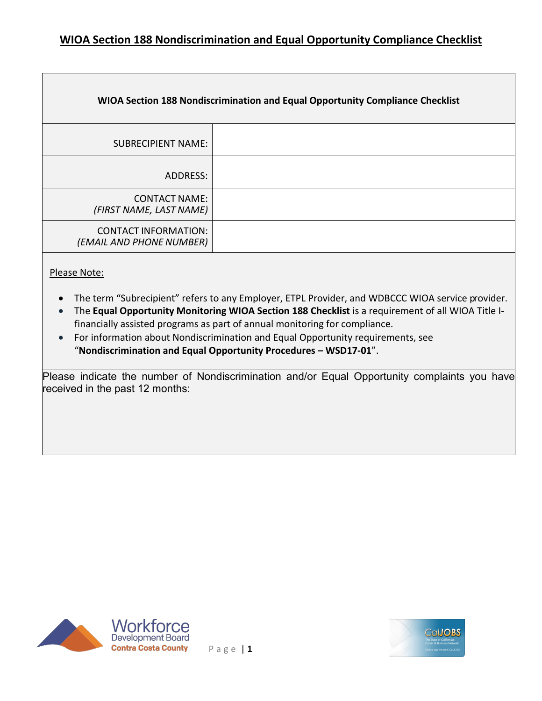| WIOA Section 188 Nondiscrimination and Equal Opportunity Compliance Checklist |  |
|-------------------------------------------------------------------------------|--|
| <b>SUBRECIPIENT NAME:</b>                                                     |  |
| ADDRESS:                                                                      |  |
| <b>CONTACT NAME:</b><br>(FIRST NAME, LAST NAME)                               |  |
| <b>CONTACT INFORMATION:</b><br>(EMAIL AND PHONE NUMBER)                       |  |

#### Please Note:

- The term "Subrecipient" refers to any Employer, ETPL Provider, and WDBCCC WIOA service provider.
- The **Equal Opportunity Monitoring WIOA Section 188 Checklist** is a requirement of all WIOA Title Ifinancially assisted programs as part of annual monitoring for compliance.
- For information about Nondiscrimination and Equal Opportunity requirements, see "**Nondiscrimination and Equal Opportunity Procedures – WSD17-01**".

Please indicate the number of Nondiscrimination and/or Equal Opportunity complaints you have received in the past 12 months:



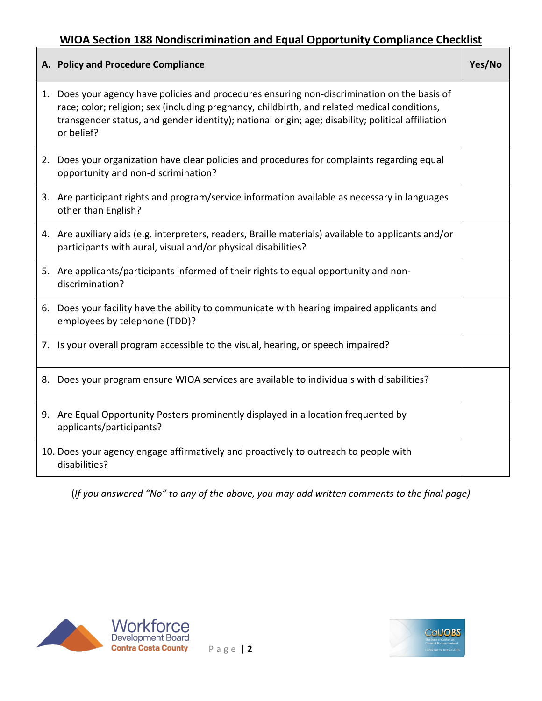| A. Policy and Procedure Compliance                                                                                                                                                                                                                                                                              | Yes/No |
|-----------------------------------------------------------------------------------------------------------------------------------------------------------------------------------------------------------------------------------------------------------------------------------------------------------------|--------|
| 1. Does your agency have policies and procedures ensuring non-discrimination on the basis of<br>race; color; religion; sex (including pregnancy, childbirth, and related medical conditions,<br>transgender status, and gender identity); national origin; age; disability; political affiliation<br>or belief? |        |
| 2. Does your organization have clear policies and procedures for complaints regarding equal<br>opportunity and non-discrimination?                                                                                                                                                                              |        |
| 3. Are participant rights and program/service information available as necessary in languages<br>other than English?                                                                                                                                                                                            |        |
| 4. Are auxiliary aids (e.g. interpreters, readers, Braille materials) available to applicants and/or<br>participants with aural, visual and/or physical disabilities?                                                                                                                                           |        |
| 5. Are applicants/participants informed of their rights to equal opportunity and non-<br>discrimination?                                                                                                                                                                                                        |        |
| 6. Does your facility have the ability to communicate with hearing impaired applicants and<br>employees by telephone (TDD)?                                                                                                                                                                                     |        |
| 7. Is your overall program accessible to the visual, hearing, or speech impaired?                                                                                                                                                                                                                               |        |
| 8. Does your program ensure WIOA services are available to individuals with disabilities?                                                                                                                                                                                                                       |        |
| 9. Are Equal Opportunity Posters prominently displayed in a location frequented by<br>applicants/participants?                                                                                                                                                                                                  |        |
| 10. Does your agency engage affirmatively and proactively to outreach to people with<br>disabilities?                                                                                                                                                                                                           |        |

(*If you answered "No" to any of the above, you may add written comments to the final page)*



Г

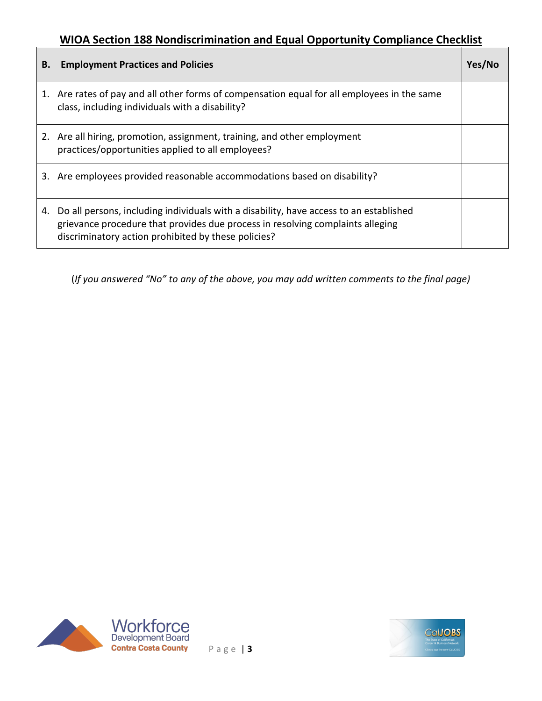| В. | <b>Employment Practices and Policies</b>                                                                                                                                                                                        | Yes/No |
|----|---------------------------------------------------------------------------------------------------------------------------------------------------------------------------------------------------------------------------------|--------|
|    | 1. Are rates of pay and all other forms of compensation equal for all employees in the same<br>class, including individuals with a disability?                                                                                  |        |
|    | 2. Are all hiring, promotion, assignment, training, and other employment<br>practices/opportunities applied to all employees?                                                                                                   |        |
|    | 3. Are employees provided reasonable accommodations based on disability?                                                                                                                                                        |        |
| 4. | Do all persons, including individuals with a disability, have access to an established<br>grievance procedure that provides due process in resolving complaints alleging<br>discriminatory action prohibited by these policies? |        |

(*If you answered "No" to any of the above, you may add written comments to the final page)*



Г



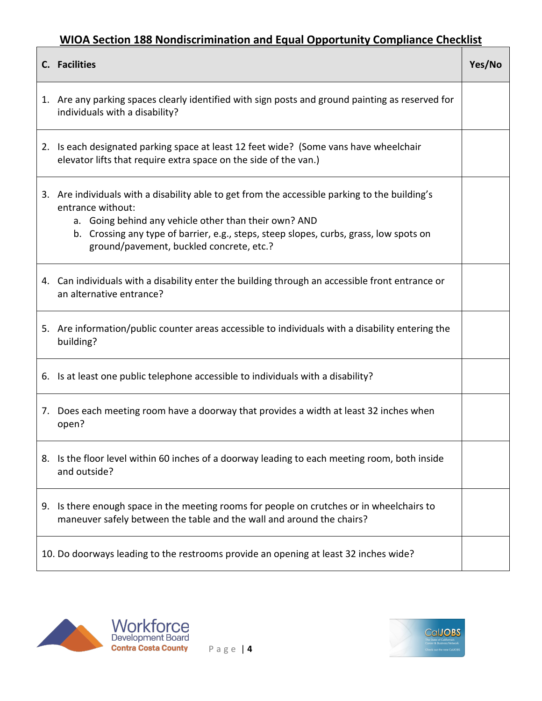|    | C. Facilities                                                                                                                                                                                                                                                                                                      | Yes/No |
|----|--------------------------------------------------------------------------------------------------------------------------------------------------------------------------------------------------------------------------------------------------------------------------------------------------------------------|--------|
|    | 1. Are any parking spaces clearly identified with sign posts and ground painting as reserved for<br>individuals with a disability?                                                                                                                                                                                 |        |
|    | 2. Is each designated parking space at least 12 feet wide? (Some vans have wheelchair<br>elevator lifts that require extra space on the side of the van.)                                                                                                                                                          |        |
|    | 3. Are individuals with a disability able to get from the accessible parking to the building's<br>entrance without:<br>a. Going behind any vehicle other than their own? AND<br>b. Crossing any type of barrier, e.g., steps, steep slopes, curbs, grass, low spots on<br>ground/pavement, buckled concrete, etc.? |        |
|    | 4. Can individuals with a disability enter the building through an accessible front entrance or<br>an alternative entrance?                                                                                                                                                                                        |        |
|    | 5. Are information/public counter areas accessible to individuals with a disability entering the<br>building?                                                                                                                                                                                                      |        |
|    | 6. Is at least one public telephone accessible to individuals with a disability?                                                                                                                                                                                                                                   |        |
| 7. | Does each meeting room have a doorway that provides a width at least 32 inches when<br>open?                                                                                                                                                                                                                       |        |
|    | 8. Is the floor level within 60 inches of a doorway leading to each meeting room, both inside<br>and outside?                                                                                                                                                                                                      |        |
|    | 9. Is there enough space in the meeting rooms for people on crutches or in wheelchairs to<br>maneuver safely between the table and the wall and around the chairs?                                                                                                                                                 |        |
|    | 10. Do doorways leading to the restrooms provide an opening at least 32 inches wide?                                                                                                                                                                                                                               |        |



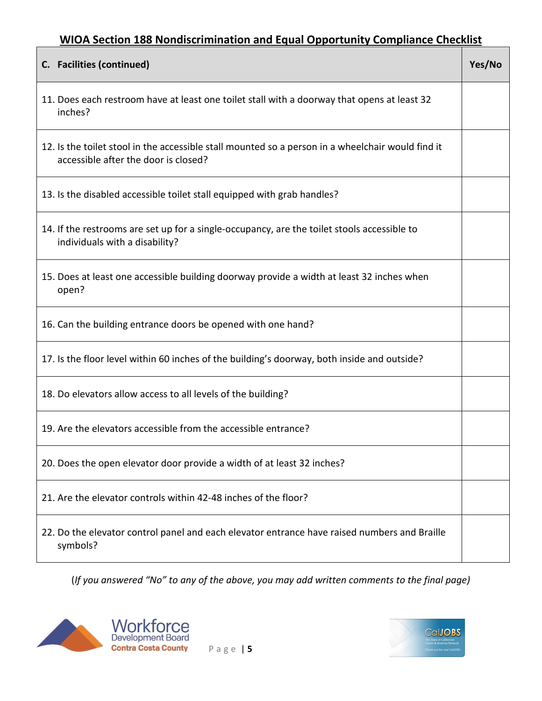| C. Facilities (continued)                                                                                                                 | Yes/No |
|-------------------------------------------------------------------------------------------------------------------------------------------|--------|
| 11. Does each restroom have at least one toilet stall with a doorway that opens at least 32<br>inches?                                    |        |
| 12. Is the toilet stool in the accessible stall mounted so a person in a wheelchair would find it<br>accessible after the door is closed? |        |
| 13. Is the disabled accessible toilet stall equipped with grab handles?                                                                   |        |
| 14. If the restrooms are set up for a single-occupancy, are the toilet stools accessible to<br>individuals with a disability?             |        |
| 15. Does at least one accessible building doorway provide a width at least 32 inches when<br>open?                                        |        |
| 16. Can the building entrance doors be opened with one hand?                                                                              |        |
| 17. Is the floor level within 60 inches of the building's doorway, both inside and outside?                                               |        |
| 18. Do elevators allow access to all levels of the building?                                                                              |        |
| 19. Are the elevators accessible from the accessible entrance?                                                                            |        |
| 20. Does the open elevator door provide a width of at least 32 inches?                                                                    |        |
| 21. Are the elevator controls within 42-48 inches of the floor?                                                                           |        |
| 22. Do the elevator control panel and each elevator entrance have raised numbers and Braille<br>symbols?                                  |        |

(*If you answered "No" to any of the above, you may add written comments to the final page)*